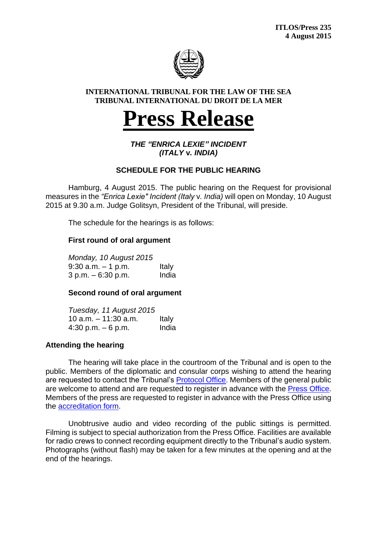

#### **INTERNATIONAL TRIBUNAL FOR THE LAW OF THE SEA TRIBUNAL INTERNATIONAL DU DROIT DE LA MER**

# **Press Release**

*THE "ENRICA LEXIE" INCIDENT (ITALY* **v***. INDIA)*

## **SCHEDULE FOR THE PUBLIC HEARING**

Hamburg, 4 August 2015. The public hearing on the Request for provisional measures in the *"Enrica Lexie" Incident (Italy* v*. India)* will open on Monday, 10 August 2015 at 9.30 a.m. Judge Golitsyn, President of the Tribunal, will preside.

The schedule for the hearings is as follows:

### **First round of oral argument**

*Monday, 10 August 2015*  $9:30$  a.m.  $-1$  p.m. Italy 3 p.m. – 6:30 p.m. India

### **Second round of oral argument**

*Tuesday, 11 August 2015* 10  $a.m. - 11:30$   $a.m.$  Italy  $4:30 \text{ p.m.} - 6 \text{ p.m.}$  India

### **Attending the hearing**

The hearing will take place in the courtroom of the Tribunal and is open to the public. Members of the diplomatic and consular corps wishing to attend the hearing are requested to contact the Tribunal's [Protocol Office.](mailto:vorbeck@itlos.org) Members of the general public are welcome to attend and are requested to register in advance with the [Press Office.](mailto:press@itlos.org) Members of the press are requested to register in advance with the Press Office using the [accreditation form.](http://www.itlos.org/fileadmin/itlos/documents/registry/media_accreditation_E.pdf)

Unobtrusive audio and video recording of the public sittings is permitted. Filming is subject to special authorization from the Press Office. Facilities are available for radio crews to connect recording equipment directly to the Tribunal's audio system. Photographs (without flash) may be taken for a few minutes at the opening and at the end of the hearings.